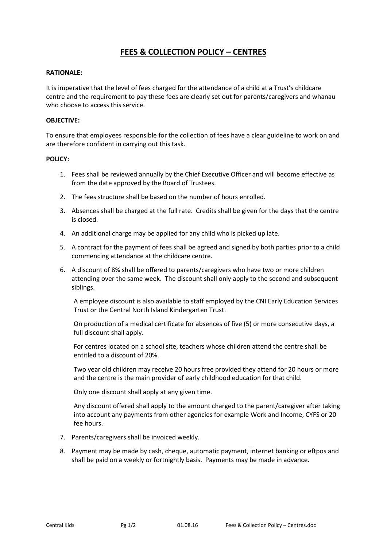## **FEES & COLLECTION POLICY – CENTRES**

## **RATIONALE:**

It is imperative that the level of fees charged for the attendance of a child at a Trust's childcare centre and the requirement to pay these fees are clearly set out for parents/caregivers and whanau who choose to access this service.

## **OBJECTIVE:**

To ensure that employees responsible for the collection of fees have a clear guideline to work on and are therefore confident in carrying out this task.

## **POLICY:**

- 1. Fees shall be reviewed annually by the Chief Executive Officer and will become effective as from the date approved by the Board of Trustees.
- 2. The fees structure shall be based on the number of hours enrolled.
- 3. Absences shall be charged at the full rate. Credits shall be given for the days that the centre is closed.
- 4. An additional charge may be applied for any child who is picked up late.
- 5. A contract for the payment of fees shall be agreed and signed by both parties prior to a child commencing attendance at the childcare centre.
- 6. A discount of 8% shall be offered to parents/caregivers who have two or more children attending over the same week. The discount shall only apply to the second and subsequent siblings.

A employee discount is also available to staff employed by the CNI Early Education Services Trust or the Central North Island Kindergarten Trust.

On production of a medical certificate for absences of five (5) or more consecutive days, a full discount shall apply.

For centres located on a school site, teachers whose children attend the centre shall be entitled to a discount of 20%.

Two year old children may receive 20 hours free provided they attend for 20 hours or more and the centre is the main provider of early childhood education for that child.

Only one discount shall apply at any given time.

Any discount offered shall apply to the amount charged to the parent/caregiver after taking into account any payments from other agencies for example Work and Income, CYFS or 20 fee hours.

- 7. Parents/caregivers shall be invoiced weekly.
- 8. Payment may be made by cash, cheque, automatic payment, internet banking or eftpos and shall be paid on a weekly or fortnightly basis. Payments may be made in advance.